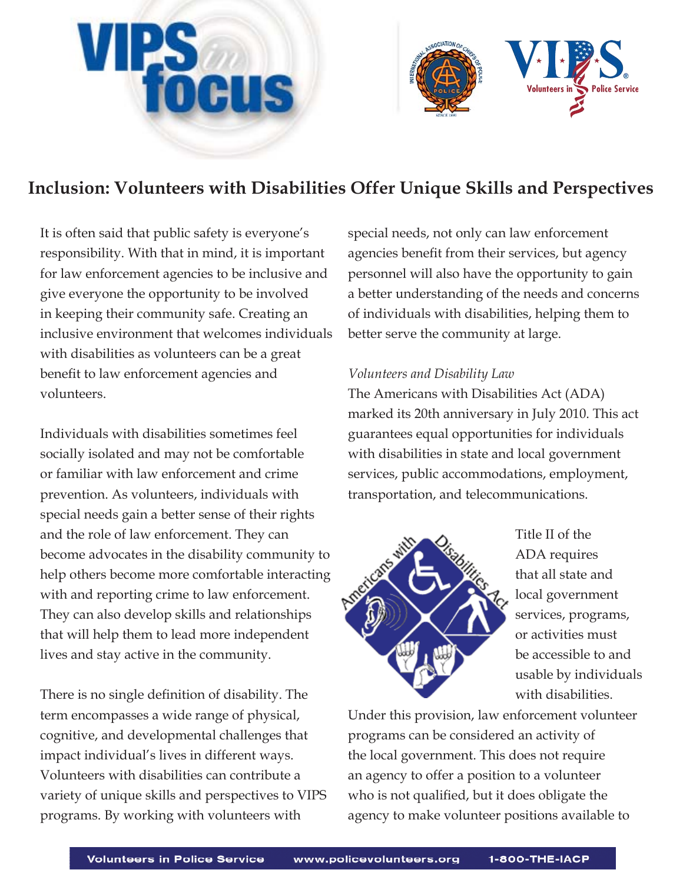



# **Inclusion: Volunteers with Disabilities Offer Unique Skills and Perspectives**

It is often said that public safety is everyone's responsibility. With that in mind, it is important for law enforcement agencies to be inclusive and give everyone the opportunity to be involved in keeping their community safe. Creating an inclusive environment that welcomes individuals with disabilities as volunteers can be a great benefit to law enforcement agencies and volunteers.

Individuals with disabilities sometimes feel socially isolated and may not be comfortable or familiar with law enforcement and crime prevention. As volunteers, individuals with special needs gain a better sense of their rights and the role of law enforcement. They can become advocates in the disability community to help others become more comfortable interacting with and reporting crime to law enforcement. They can also develop skills and relationships that will help them to lead more independent lives and stay active in the community.

There is no single definition of disability. The term encompasses a wide range of physical, cognitive, and developmental challenges that impact individual's lives in different ways. Volunteers with disabilities can contribute a variety of unique skills and perspectives to VIPS programs. By working with volunteers with

special needs, not only can law enforcement agencies benefit from their services, but agency personnel will also have the opportunity to gain a better understanding of the needs and concerns of individuals with disabilities, helping them to better serve the community at large.

### *Volunteers and Disability Law*

The Americans with Disabilities Act (ADA) marked its 20th anniversary in July 2010. This act guarantees equal opportunities for individuals with disabilities in state and local government services, public accommodations, employment, transportation, and telecommunications.



Title II of the ADA requires that all state and local government services, programs, or activities must be accessible to and usable by individuals with disabilities.

Under this provision, law enforcement volunteer programs can be considered an activity of the local government. This does not require an agency to offer a position to a volunteer who is not qualified, but it does obligate the agency to make volunteer positions available to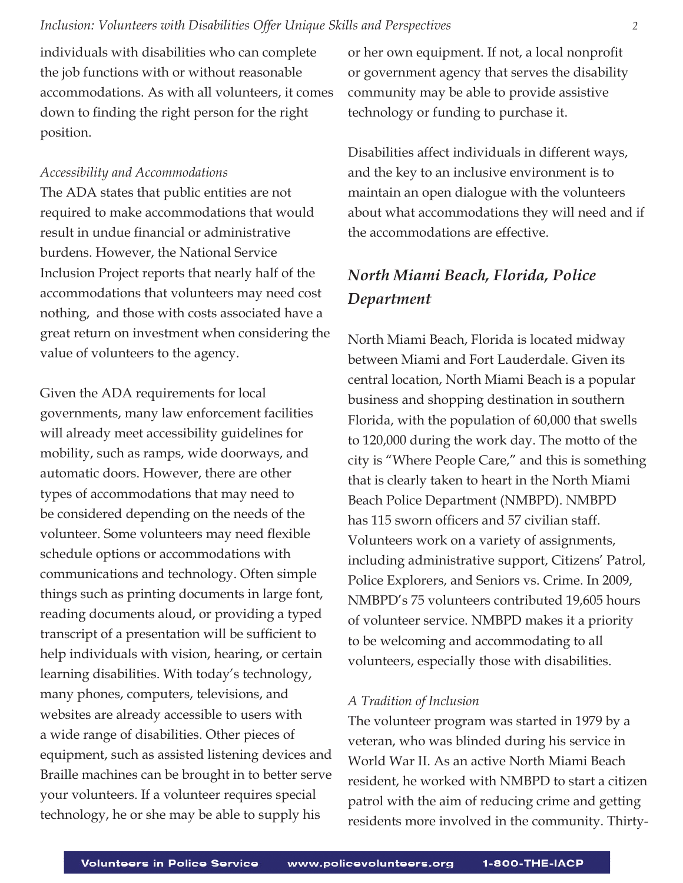### *Inclusion: Volunteers with Disabilities Offer Unique Skills and Perspectives 2*

individuals with disabilities who can complete the job functions with or without reasonable accommodations. As with all volunteers, it comes down to finding the right person for the right position.

#### *Accessibility and Accommodations*

The ADA states that public entities are not required to make accommodations that would result in undue financial or administrative burdens. However, the National Service Inclusion Project reports that nearly half of the accommodations that volunteers may need cost nothing, and those with costs associated have a great return on investment when considering the value of volunteers to the agency.

Given the ADA requirements for local governments, many law enforcement facilities will already meet accessibility guidelines for mobility, such as ramps, wide doorways, and automatic doors. However, there are other types of accommodations that may need to be considered depending on the needs of the volunteer. Some volunteers may need flexible schedule options or accommodations with communications and technology. Often simple things such as printing documents in large font, reading documents aloud, or providing a typed transcript of a presentation will be sufficient to help individuals with vision, hearing, or certain learning disabilities. With today's technology, many phones, computers, televisions, and websites are already accessible to users with a wide range of disabilities. Other pieces of equipment, such as assisted listening devices and Braille machines can be brought in to better serve your volunteers. If a volunteer requires special technology, he or she may be able to supply his

or her own equipment. If not, a local nonprofit or government agency that serves the disability community may be able to provide assistive technology or funding to purchase it.

Disabilities affect individuals in different ways, and the key to an inclusive environment is to maintain an open dialogue with the volunteers about what accommodations they will need and if the accommodations are effective.

# *North Miami Beach, Florida, Police Department*

North Miami Beach, Florida is located midway between Miami and Fort Lauderdale. Given its central location, North Miami Beach is a popular business and shopping destination in southern Florida, with the population of 60,000 that swells to 120,000 during the work day. The motto of the city is "Where People Care," and this is something that is clearly taken to heart in the North Miami Beach Police Department (NMBPD). NMBPD has 115 sworn officers and 57 civilian staff. Volunteers work on a variety of assignments, including administrative support, Citizens' Patrol, Police Explorers, and Seniors vs. Crime. In 2009, NMBPD's 75 volunteers contributed 19,605 hours of volunteer service. NMBPD makes it a priority to be welcoming and accommodating to all volunteers, especially those with disabilities.

### *A Tradition of Inclusion*

The volunteer program was started in 1979 by a veteran, who was blinded during his service in World War II. As an active North Miami Beach resident, he worked with NMBPD to start a citizen patrol with the aim of reducing crime and getting residents more involved in the community. Thirty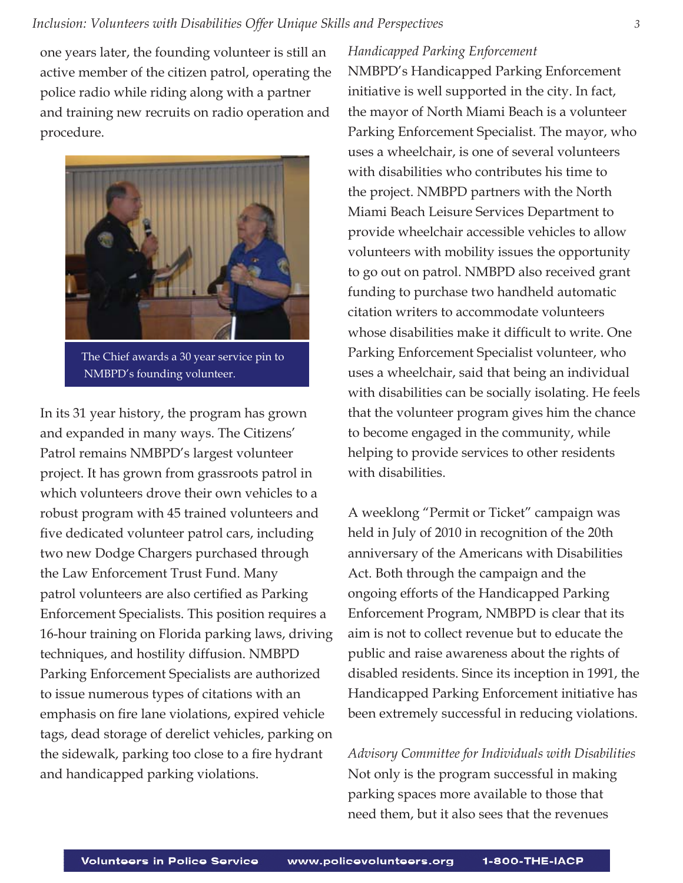one years later, the founding volunteer is still an active member of the citizen patrol, operating the police radio while riding along with a partner and training new recruits on radio operation and procedure.



 The Chief awards a 30 year service pin to NMBPD's founding volunteer.

In its 31 year history, the program has grown and expanded in many ways. The Citizens' Patrol remains NMBPD's largest volunteer project. It has grown from grassroots patrol in which volunteers drove their own vehicles to a robust program with 45 trained volunteers and five dedicated volunteer patrol cars, including two new Dodge Chargers purchased through the Law Enforcement Trust Fund. Many patrol volunteers are also certified as Parking Enforcement Specialists. This position requires a 16-hour training on Florida parking laws, driving techniques, and hostility diffusion. NMBPD Parking Enforcement Specialists are authorized to issue numerous types of citations with an emphasis on fire lane violations, expired vehicle tags, dead storage of derelict vehicles, parking on the sidewalk, parking too close to a fire hydrant and handicapped parking violations.

### *Handicapped Parking Enforcement*

NMBPD's Handicapped Parking Enforcement initiative is well supported in the city. In fact, the mayor of North Miami Beach is a volunteer Parking Enforcement Specialist. The mayor, who uses a wheelchair, is one of several volunteers with disabilities who contributes his time to the project. NMBPD partners with the North Miami Beach Leisure Services Department to provide wheelchair accessible vehicles to allow volunteers with mobility issues the opportunity to go out on patrol. NMBPD also received grant funding to purchase two handheld automatic citation writers to accommodate volunteers whose disabilities make it difficult to write. One Parking Enforcement Specialist volunteer, who uses a wheelchair, said that being an individual with disabilities can be socially isolating. He feels that the volunteer program gives him the chance to become engaged in the community, while helping to provide services to other residents with disabilities.

A weeklong "Permit or Ticket" campaign was held in July of 2010 in recognition of the 20th anniversary of the Americans with Disabilities Act. Both through the campaign and the ongoing efforts of the Handicapped Parking Enforcement Program, NMBPD is clear that its aim is not to collect revenue but to educate the public and raise awareness about the rights of disabled residents. Since its inception in 1991, the Handicapped Parking Enforcement initiative has been extremely successful in reducing violations.

*Advisory Committee for Individuals with Disabilities* Not only is the program successful in making parking spaces more available to those that need them, but it also sees that the revenues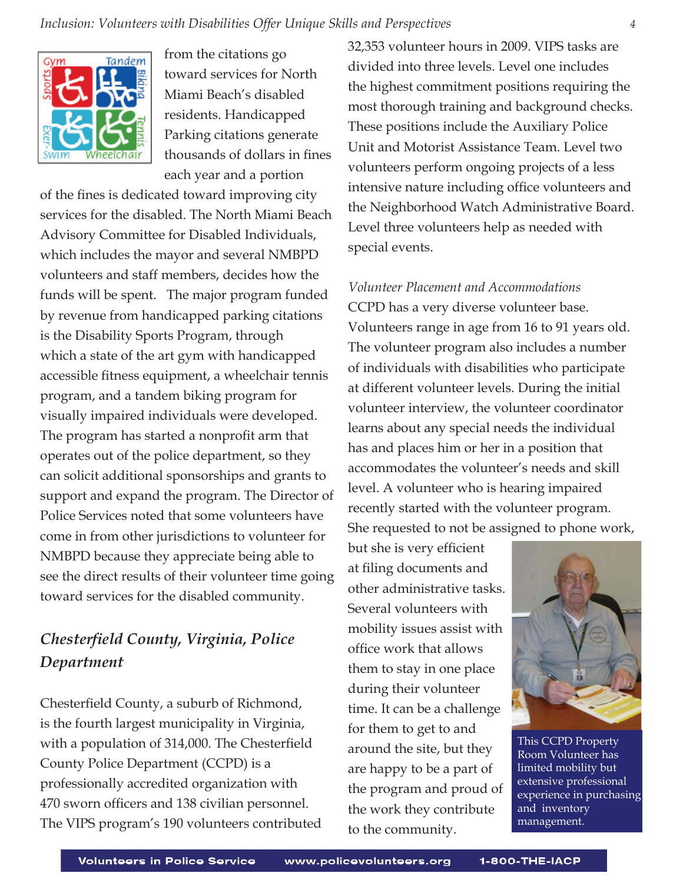

from the citations go toward services for North Miami Beach's disabled residents. Handicapped Parking citations generate thousands of dollars in fines each year and a portion

of the fines is dedicated toward improving city services for the disabled. The North Miami Beach Advisory Committee for Disabled Individuals, which includes the mayor and several NMBPD volunteers and staff members, decides how the funds will be spent. The major program funded by revenue from handicapped parking citations is the Disability Sports Program, through which a state of the art gym with handicapped accessible fitness equipment, a wheelchair tennis program, and a tandem biking program for visually impaired individuals were developed. The program has started a nonprofit arm that operates out of the police department, so they can solicit additional sponsorships and grants to support and expand the program. The Director of Police Services noted that some volunteers have come in from other jurisdictions to volunteer for NMBPD because they appreciate being able to see the direct results of their volunteer time going toward services for the disabled community.

# *Chesterfi eld County, Virginia, Police Department*

Chesterfield County, a suburb of Richmond, is the fourth largest municipality in Virginia, with a population of  $314,000$ . The Chesterfield County Police Department (CCPD) is a professionally accredited organization with 470 sworn officers and 138 civilian personnel. The VIPS program's 190 volunteers contributed 32,353 volunteer hours in 2009. VIPS tasks are divided into three levels. Level one includes the highest commitment positions requiring the most thorough training and background checks. These positions include the Auxiliary Police Unit and Motorist Assistance Team. Level two volunteers perform ongoing projects of a less intensive nature including office volunteers and the Neighborhood Watch Administrative Board. Level three volunteers help as needed with special events.

*Volunteer Placement and Accommodations* CCPD has a very diverse volunteer base. Volunteers range in age from 16 to 91 years old. The volunteer program also includes a number of individuals with disabilities who participate at different volunteer levels. During the initial volunteer interview, the volunteer coordinator learns about any special needs the individual has and places him or her in a position that accommodates the volunteer's needs and skill level. A volunteer who is hearing impaired recently started with the volunteer program. She requested to not be assigned to phone work,

but she is very efficient at filing documents and other administrative tasks. Several volunteers with mobility issues assist with office work that allows them to stay in one place during their volunteer time. It can be a challenge for them to get to and around the site, but they are happy to be a part of the program and proud of the work they contribute to the community.



 This CCPD Property Room Volunteer has limited mobility but extensive professional experience in purchasing and inventory management.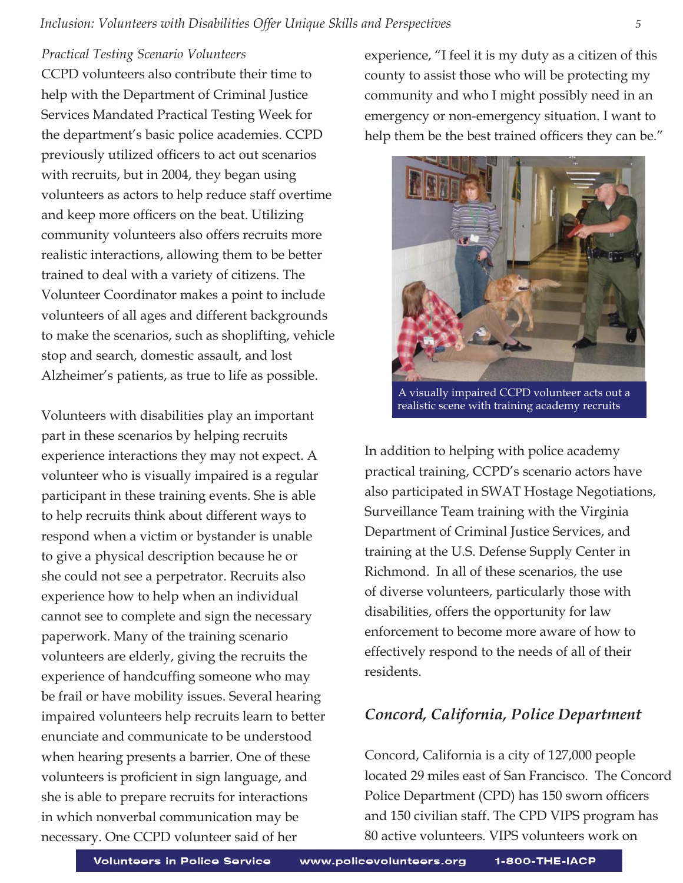### *Practical Testing Scenario Volunteers*

CCPD volunteers also contribute their time to help with the Department of Criminal Justice Services Mandated Practical Testing Week for the department's basic police academies. CCPD previously utilized officers to act out scenarios with recruits, but in 2004, they began using volunteers as actors to help reduce staff overtime and keep more officers on the beat. Utilizing community volunteers also offers recruits more realistic interactions, allowing them to be better trained to deal with a variety of citizens. The Volunteer Coordinator makes a point to include volunteers of all ages and different backgrounds to make the scenarios, such as shoplifting, vehicle stop and search, domestic assault, and lost Alzheimer's patients, as true to life as possible.

Volunteers with disabilities play an important part in these scenarios by helping recruits experience interactions they may not expect. A volunteer who is visually impaired is a regular participant in these training events. She is able to help recruits think about different ways to respond when a victim or bystander is unable to give a physical description because he or she could not see a perpetrator. Recruits also experience how to help when an individual cannot see to complete and sign the necessary paperwork. Many of the training scenario volunteers are elderly, giving the recruits the experience of handcuffing someone who may be frail or have mobility issues. Several hearing impaired volunteers help recruits learn to better enunciate and communicate to be understood when hearing presents a barrier. One of these volunteers is proficient in sign language, and she is able to prepare recruits for interactions in which nonverbal communication may be necessary. One CCPD volunteer said of her

experience, "I feel it is my duty as a citizen of this county to assist those who will be protecting my community and who I might possibly need in an emergency or non-emergency situation. I want to help them be the best trained officers they can be."



 A visually impaired CCPD volunteer acts out a realistic scene with training academy recruits

In addition to helping with police academy practical training, CCPD's scenario actors have also participated in SWAT Hostage Negotiations, Surveillance Team training with the Virginia Department of Criminal Justice Services, and training at the U.S. Defense Supply Center in Richmond. In all of these scenarios, the use of diverse volunteers, particularly those with disabilities, offers the opportunity for law enforcement to become more aware of how to effectively respond to the needs of all of their residents.

## *Concord, California, Police Department*

Concord, California is a city of 127,000 people located 29 miles east of San Francisco. The Concord Police Department (CPD) has 150 sworn officers and 150 civilian staff. The CPD VIPS program has 80 active volunteers. VIPS volunteers work on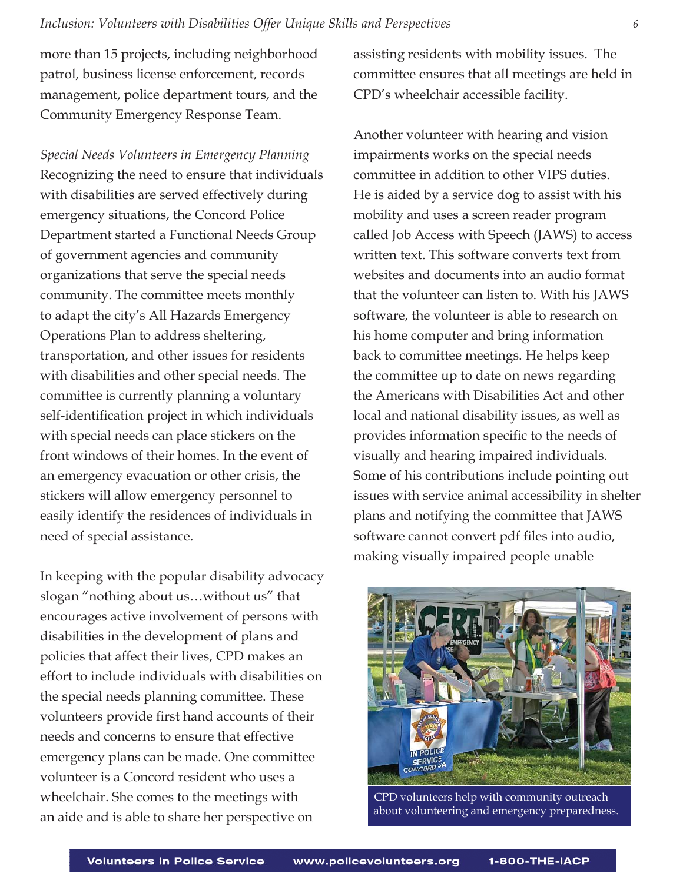### *Inclusion: Volunteers with Disabilities Offer Unique Skills and Perspectives 6*

more than 15 projects, including neighborhood patrol, business license enforcement, records management, police department tours, and the Community Emergency Response Team.

*Special Needs Volunteers in Emergency Planning* Recognizing the need to ensure that individuals with disabilities are served effectively during emergency situations, the Concord Police Department started a Functional Needs Group of government agencies and community organizations that serve the special needs community. The committee meets monthly to adapt the city's All Hazards Emergency Operations Plan to address sheltering, transportation, and other issues for residents with disabilities and other special needs. The committee is currently planning a voluntary self-identification project in which individuals with special needs can place stickers on the front windows of their homes. In the event of an emergency evacuation or other crisis, the stickers will allow emergency personnel to easily identify the residences of individuals in need of special assistance.

In keeping with the popular disability advocacy slogan "nothing about us…without us" that encourages active involvement of persons with disabilities in the development of plans and policies that affect their lives, CPD makes an effort to include individuals with disabilities on the special needs planning committee. These volunteers provide first hand accounts of their needs and concerns to ensure that effective emergency plans can be made. One committee volunteer is a Concord resident who uses a wheelchair. She comes to the meetings with an aide and is able to share her perspective on

assisting residents with mobility issues. The committee ensures that all meetings are held in CPD's wheelchair accessible facility.

Another volunteer with hearing and vision impairments works on the special needs committee in addition to other VIPS duties. He is aided by a service dog to assist with his mobility and uses a screen reader program called Job Access with Speech (JAWS) to access written text. This software converts text from websites and documents into an audio format that the volunteer can listen to. With his JAWS software, the volunteer is able to research on his home computer and bring information back to committee meetings. He helps keep the committee up to date on news regarding the Americans with Disabilities Act and other local and national disability issues, as well as provides information specific to the needs of visually and hearing impaired individuals. Some of his contributions include pointing out issues with service animal accessibility in shelter plans and notifying the committee that JAWS software cannot convert pdf files into audio, making visually impaired people unable



 CPD volunteers help with community outreach about volunteering and emergency preparedness.